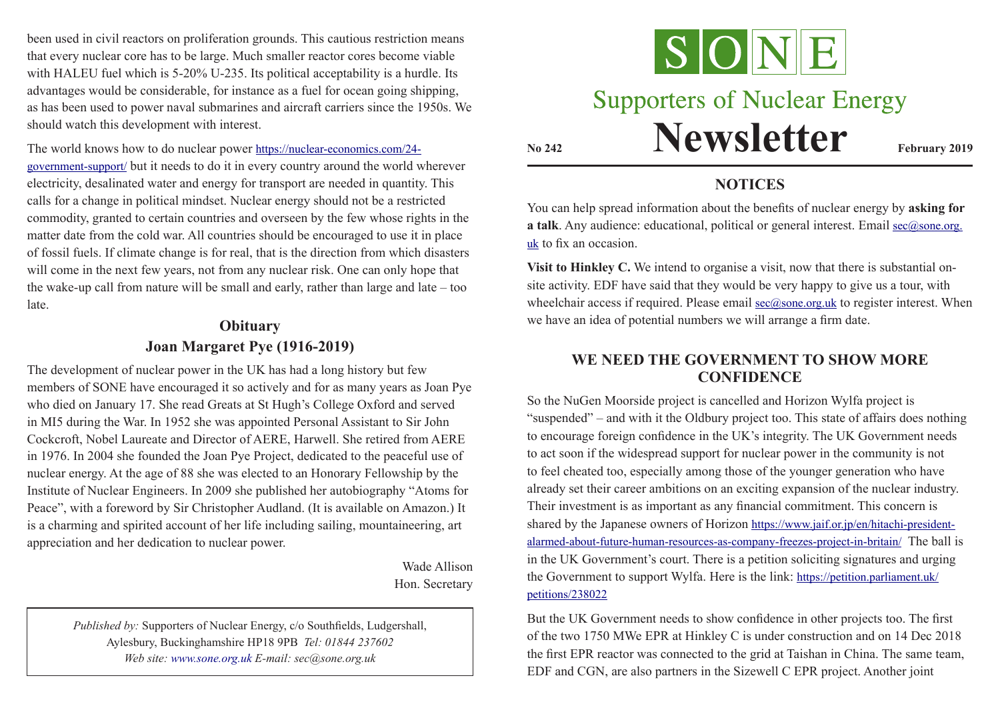been used in civil reactors on proliferation grounds. This cautious restriction means that every nuclear core has to be large. Much smaller reactor cores become viable with HALEU fuel which is 5-20% U-235. Its political acceptability is a hurdle. Its advantages would be considerable, for instance as a fuel for ocean going shipping, as has been used to power naval submarines and aircraft carriers since the 1950s. We should watch this development with interest.

The world knows how to do nuclear power https://nuclear-economics.com/24 government-support/ but it needs to do it in every country around the world wherever electricity, desalinated water and energy for transport are needed in quantity. This calls for a change in political mindset. Nuclear energy should not be a restricted commodity, granted to certain countries and overseen by the few whose rights in the matter date from the cold war. All countries should be encouraged to use it in place of fossil fuels. If climate change is for real, that is the direction from which disasters will come in the next few years, not from any nuclear risk. One can only hope that the wake-up call from nature will be small and early, rather than large and late – too late.

# **Obituary Joan Margaret Pye (1916-2019)**

The development of nuclear power in the UK has had a long history but few members of SONE have encouraged it so actively and for as many years as Joan Pye who died on January 17. She read Greats at St Hugh's College Oxford and served in MI5 during the War. In 1952 she was appointed Personal Assistant to Sir John Cockcroft, Nobel Laureate and Director of AERE, Harwell. She retired from AERE in 1976. In 2004 she founded the Joan Pye Project, dedicated to the peaceful use of nuclear energy. At the age of 88 she was elected to an Honorary Fellowship by the Institute of Nuclear Engineers. In 2009 she published her autobiography "Atoms for Peace", with a foreword by Sir Christopher Audland. (It is available on Amazon.) It is a charming and spirited account of her life including sailing, mountaineering, art appreciation and her dedication to nuclear power.

> Wade Allison Hon. Secretary

*Published by:* Supporters of Nuclear Energy, c/o Southfields, Ludgershall, Aylesbury, Buckinghamshire HP18 9PB *Tel: 01844 237602 Web site: www.sone.org.uk E-mail: sec@sone.org.uk*



# **Supporters of Nuclear Energy**

**Newsletter February 2019** 

#### **NOTICES**

You can help spread information about the benefits of nuclear energy by **asking for a talk**. Any audience: educational, political or general interest. Email sec@sone.org. uk to fix an occasion.

**Visit to Hinkley C.** We intend to organise a visit, now that there is substantial onsite activity. EDF have said that they would be very happy to give us a tour, with wheelchair access if required. Please email  $\sec(\alpha)$  sone.org.uk to register interest. When we have an idea of potential numbers we will arrange a firm date.

### **WE NEED THE GOVERNMENT TO SHOW MORE CONFIDENCE**

So the NuGen Moorside project is cancelled and Horizon Wylfa project is "suspended" – and with it the Oldbury project too. This state of affairs does nothing to encourage foreign confidence in the UK's integrity. The UK Government needs to act soon if the widespread support for nuclear power in the community is not to feel cheated too, especially among those of the younger generation who have already set their career ambitions on an exciting expansion of the nuclear industry. Their investment is as important as any financial commitment. This concern is shared by the Japanese owners of Horizon https://www.jaif.or.jp/en/hitachi-presidentalarmed-about-future-human-resources-as-company-freezes-project-in-britain/ The ball is in the UK Government's court. There is a petition soliciting signatures and urging the Government to support Wylfa. Here is the link: https://petition.parliament.uk/ petitions/238022

But the UK Government needs to show confidence in other projects too. The first of the two 1750 MWe EPR at Hinkley C is under construction and on 14 Dec 2018 the first EPR reactor was connected to the grid at Taishan in China. The same team, EDF and CGN, are also partners in the Sizewell C EPR project. Another joint